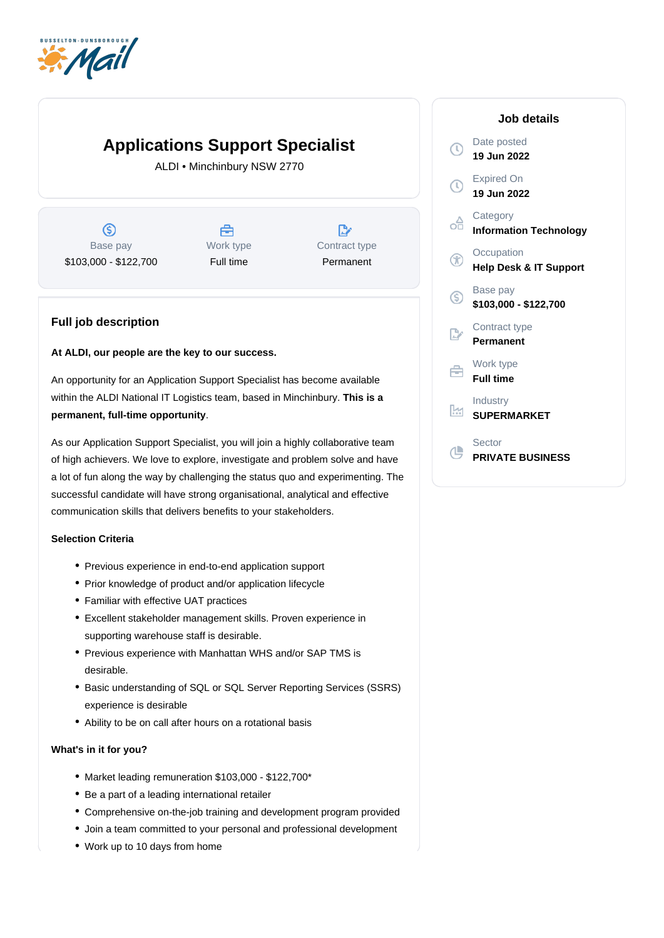

# **Applications Support Specialist**

ALDI • Minchinbury NSW 2770

 $\circledS$ Base pay \$103,000 - \$122,700



 $\mathbb{R}$ Contract type Permanent

## **Full job description**

#### **At ALDI, our people are the key to our success.**

An opportunity for an Application Support Specialist has become available within the ALDI National IT Logistics team, based in Minchinbury. **This is a**  . **permanent, full-time opportunity**

As our Application Support Specialist, you will join a highly collaborative team of high achievers. We love to explore, investigate and problem solve and have a lot of fun along the way by challenging the status quo and experimenting. The successful candidate will have strong organisational, analytical and effective communication skills that delivers benefits to your stakeholders.

### **Selection Criteria**

- Previous experience in end-to-end application support
- Prior knowledge of product and/or application lifecycle
- Familiar with effective UAT practices
- Excellent stakeholder management skills. Proven experience in supporting warehouse staff is desirable.
- Previous experience with Manhattan WHS and/or SAP TMS is desirable.
- Basic understanding of SQL or SQL Server Reporting Services (SSRS) experience is desirable
- Ability to be on call after hours on a rotational basis

#### **What's in it for you?**

- Market leading remuneration \$103,000 \$122,700\*
- Be a part of a leading international retailer
- Comprehensive on-the-job training and development program provided
- Join a team committed to your personal and professional development
- Work up to 10 days from home

#### **Job details** Date posted  $\mathcal{O}$ **19 Jun 2022** Expired On  $\odot$ **19 Jun 2022 Category** oo **Information Technology Occupation** GO **Help Desk & IT Support** Base pay  $\circledS$ **\$103,000 - \$122,700** Contract type **Permanent** Work type 户 **Full time** Industry <u>lm</u> **SUPERMARKET** Sector **CL PRIVATE BUSINESS**